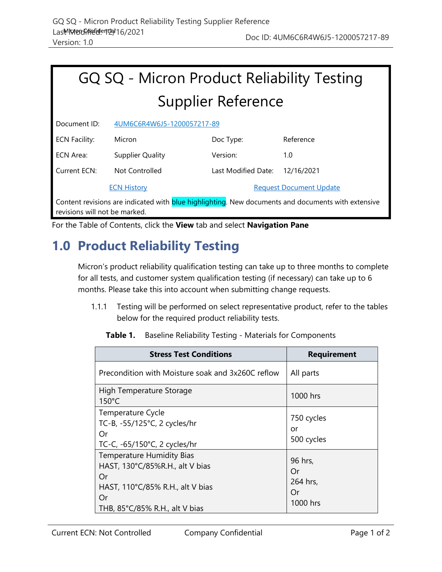|              | GQ SQ - Micron Product Reliability Testing |
|--------------|--------------------------------------------|
|              | <b>Supplier Reference</b>                  |
| Documont ID: | ALIMACCEDAMACIE_1200057217_80              |

| DOCUMENT ID.                                                                                     | 4UIVIOCON4W0J3-IZUUU37Z17-09 |                                |            |  |
|--------------------------------------------------------------------------------------------------|------------------------------|--------------------------------|------------|--|
| <b>ECN Facility:</b>                                                                             | Micron                       | Doc Type:                      | Reference  |  |
| ECN Area:                                                                                        | Supplier Quality             | Version:                       | 1.0        |  |
| Current ECN:                                                                                     | Not Controlled               | Last Modified Date:            | 12/16/2021 |  |
| <b>ECN History</b>                                                                               |                              | <b>Request Document Update</b> |            |  |
| Contant revisions are indicated with hlup highlighting. New documents and documents with extensi |                              |                                |            |  |

Content revisions are indicated with **blue highlighting**. New documents and documents with extensive revisions will not be marked.

|  |  | For the Table of Contents, click the View tab and select Navigation Pane |
|--|--|--------------------------------------------------------------------------|
|--|--|--------------------------------------------------------------------------|

## **1.0 Product Reliability Testing**

Micron's product reliability qualification testing can take up to three months to complete for all tests, and customer system qualification testing (if necessary) can take up to 6 months. Please take this into account when submitting change requests.

1.1.1 Testing will be performed on select representative product, refer to the tables below for the required product reliability tests.

| <b>Table 1.</b> Baseline Reliability Testing - Materials for Components |  |
|-------------------------------------------------------------------------|--|
|                                                                         |  |

| <b>Stress Test Conditions</b>                                                                                                                         | <b>Requirement</b>                          |
|-------------------------------------------------------------------------------------------------------------------------------------------------------|---------------------------------------------|
| Precondition with Moisture soak and 3x260C reflow                                                                                                     | All parts                                   |
| High Temperature Storage<br>$150^{\circ}$ C                                                                                                           | 1000 hrs                                    |
| Temperature Cycle<br>TC-B, -55/125°C, 2 cycles/hr<br>Or<br>TC-C, -65/150°C, 2 cycles/hr                                                               | 750 cycles<br>or<br>500 cycles              |
| <b>Temperature Humidity Bias</b><br>HAST, 130°C/85%R.H., alt V bias<br>Or<br>HAST, 110°C/85% R.H., alt V bias<br>Or<br>THB, 85°C/85% R.H., alt V bias | 96 hrs,<br>Or<br>264 hrs,<br>Or<br>1000 hrs |